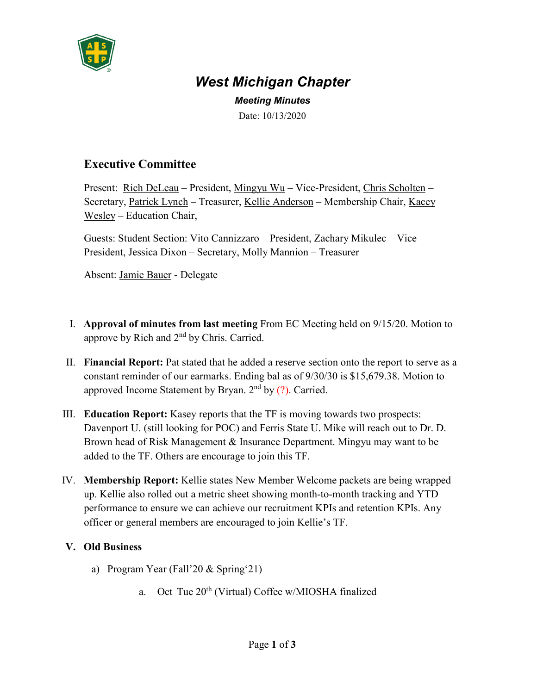

## *West Michigan Chapter*

*Meeting Minutes* Date: 10/13/2020

## **Executive Committee**

Present: Rich DeLeau – President, Mingyu Wu – Vice-President, Chris Scholten – Secretary, Patrick Lynch – Treasurer, Kellie Anderson – Membership Chair, Kacey Wesley – Education Chair,

Guests: Student Section: Vito Cannizzaro – President, Zachary Mikulec – Vice President, Jessica Dixon – Secretary, Molly Mannion – Treasurer

Absent: Jamie Bauer - Delegate

- I. **Approval of minutes from last meeting** From EC Meeting held on 9/15/20. Motion to approve by Rich and 2<sup>nd</sup> by Chris. Carried.
- II. **Financial Report:** Pat stated that he added a reserve section onto the report to serve as a constant reminder of our earmarks. Ending bal as of 9/30/30 is \$15,679.38. Motion to approved Income Statement by Bryan.  $2<sup>nd</sup>$  by (?). Carried.
- III. **Education Report:** Kasey reports that the TF is moving towards two prospects: Davenport U. (still looking for POC) and Ferris State U. Mike will reach out to Dr. D. Brown head of Risk Management & Insurance Department. Mingyu may want to be added to the TF. Others are encourage to join this TF.
- IV. **Membership Report:** Kellie states New Member Welcome packets are being wrapped up. Kellie also rolled out a metric sheet showing month-to-month tracking and YTD performance to ensure we can achieve our recruitment KPIs and retention KPIs. Any officer or general members are encouraged to join Kellie's TF.

## **V. Old Business**

- a) Program Year (Fall'20 & Spring'21)
	- a. Oct Tue  $20^{th}$  (Virtual) Coffee w/MIOSHA finalized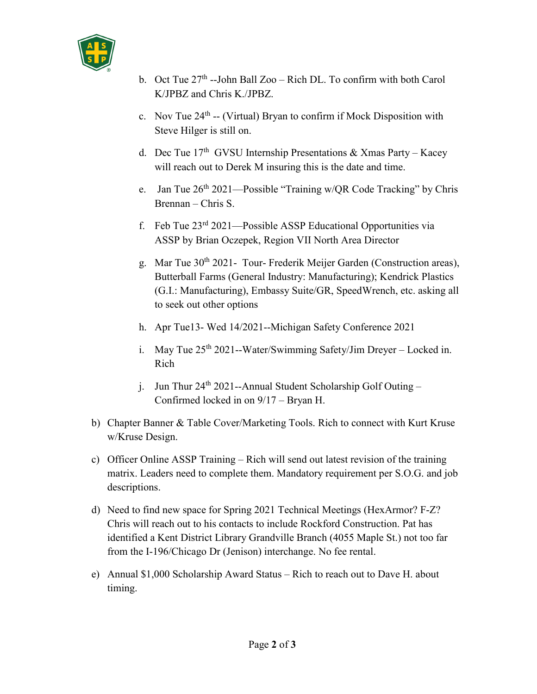

- b. Oct Tue  $27<sup>th</sup>$  --John Ball Zoo Rich DL. To confirm with both Carol K/JPBZ and Chris K./JPBZ.
- c. Nov Tue  $24<sup>th</sup>$  -- (Virtual) Bryan to confirm if Mock Disposition with Steve Hilger is still on.
- d. Dec Tue  $17<sup>th</sup>$  GVSU Internship Presentations & Xmas Party Kacey will reach out to Derek M insuring this is the date and time.
- e. Jan Tue  $26<sup>th</sup> 2021$ —Possible "Training w/OR Code Tracking" by Chris Brennan – Chris S.
- f. Feb Tue  $23<sup>rd</sup> 2021$ —Possible ASSP Educational Opportunities via ASSP by Brian Oczepek, Region VII North Area Director
- g. Mar Tue  $30<sup>th</sup> 2021$  Tour-Frederik Meijer Garden (Construction areas), Butterball Farms (General Industry: Manufacturing); Kendrick Plastics (G.I.: Manufacturing), Embassy Suite/GR, SpeedWrench, etc. asking all to seek out other options
- h. Apr Tue13- Wed 14/2021--Michigan Safety Conference 2021
- i. May Tue  $25<sup>th</sup> 2021$ --Water/Swimming Safety/Jim Dreyer Locked in. Rich
- j. Jun Thur  $24^{th}$  2021--Annual Student Scholarship Golf Outing Confirmed locked in on 9/17 – Bryan H.
- b) Chapter Banner & Table Cover/Marketing Tools. Rich to connect with Kurt Kruse w/Kruse Design.
- c) Officer Online ASSP Training Rich will send out latest revision of the training matrix. Leaders need to complete them. Mandatory requirement per S.O.G. and job descriptions.
- d) Need to find new space for Spring 2021 Technical Meetings (HexArmor? F-Z? Chris will reach out to his contacts to include Rockford Construction. Pat has identified a Kent District Library Grandville Branch (4055 Maple St.) not too far from the I-196/Chicago Dr (Jenison) interchange. No fee rental.
- e) Annual \$1,000 Scholarship Award Status Rich to reach out to Dave H. about timing.